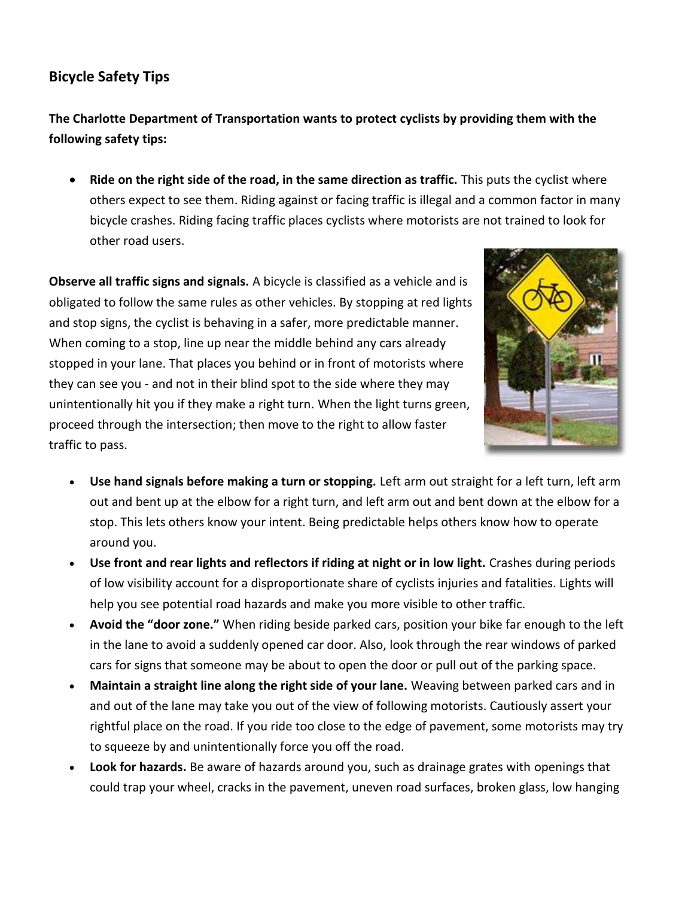## **Bicycle Safety Tips**

**The Charlotte Department of Transportation wants to protect cyclists by providing them with the following safety tips:** 

 **Ride on the right side of the road, in the same direction as traffic.** This puts the cyclist where others expect to see them. Riding against or facing traffic is illegal and a common factor in many bicycle crashes. Riding facing traffic places cyclists where motorists are not trained to look for other road users.

**Observe all traffic signs and signals.** A bicycle is classified as a vehicle and is obligated to follow the same rules as other vehicles. By stopping at red lights and stop signs, the cyclist is behaving in a safer, more predictable manner. When coming to a stop, line up near the middle behind any cars already stopped in your lane. That places you behind or in front of motorists where they can see you - and not in their blind spot to the side where they may unintentionally hit you if they make a right turn. When the light turns green, proceed through the intersection; then move to the right to allow faster traffic to pass.



- **Use hand signals before making a turn or stopping.** Left arm out straight for a left turn, left arm out and bent up at the elbow for a right turn, and left arm out and bent down at the elbow for a stop. This lets others know your intent. Being predictable helps others know how to operate around you.
- **Use front and rear lights and reflectors if riding at night or in low light.** Crashes during periods of low visibility account for a disproportionate share of cyclists injuries and fatalities. Lights will help you see potential road hazards and make you more visible to other traffic.
- **Avoid the "door zone."** When riding beside parked cars, position your bike far enough to the left in the lane to avoid a suddenly opened car door. Also, look through the rear windows of parked cars for signs that someone may be about to open the door or pull out of the parking space.
- **Maintain a straight line along the right side of your lane.** Weaving between parked cars and in and out of the lane may take you out of the view of following motorists. Cautiously assert your rightful place on the road. If you ride too close to the edge of pavement, some motorists may try to squeeze by and unintentionally force you off the road.
- **Look for hazards.** Be aware of hazards around you, such as drainage grates with openings that could trap your wheel, cracks in the pavement, uneven road surfaces, broken glass, low hanging